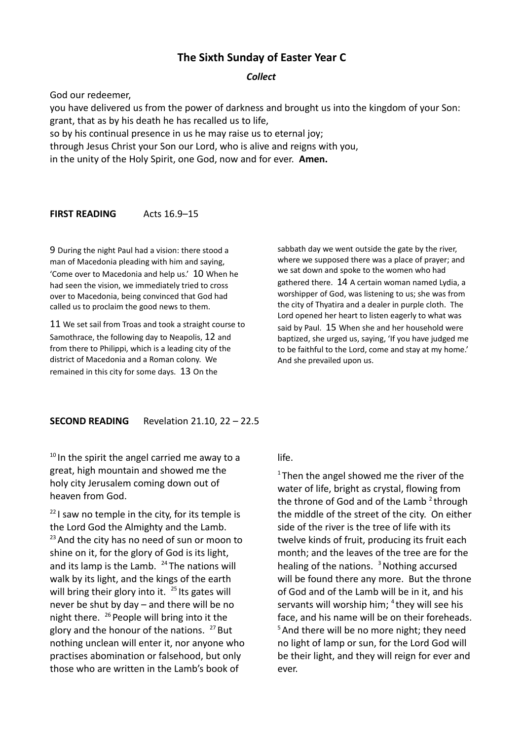# **The Sixth Sunday of Easter Year C**

### *Collect*

God our redeemer,

you have delivered us from the power of darkness and brought us into the kingdom of your Son: grant, that as by his death he has recalled us to life, so by his continual presence in us he may raise us to eternal joy;

through Jesus Christ your Son our Lord, who is alive and reigns with you,

in the unity of the Holy Spirit, one God, now and for ever. **Amen.**

#### **FIRST READING** Acts 16.9-15

9 During the night Paul had a vision: there stood a man of Macedonia pleading with him and saying, 'Come over to Macedonia and help us.' 10 When he had seen the vision, we immediately tried to cross over to Macedonia, being convinced that God had called us to proclaim the good news to them.

11 We set sail from Troas and took a straight course to Samothrace, the following day to Neapolis, 12 and from there to Philippi, which is a leading city of the district of Macedonia and a Roman colony. We remained in this city for some days. 13 On the

sabbath day we went outside the gate by the river, where we supposed there was a place of prayer; and we sat down and spoke to the women who had gathered there. 14 A certain woman named Lydia, a worshipper of God, was listening to us; she was from the city of Thyatira and a dealer in purple cloth. The Lord opened her heart to listen eagerly to what was said by Paul. 15 When she and her household were baptized, she urged us, saying, 'If you have judged me to be faithful to the Lord, come and stay at my home.' And she prevailed upon us.

## **SECOND READING** Revelation 21.10, 22 – 22.5

 $10$  In the spirit the angel carried me away to a great, high mountain and showed me the holy city Jerusalem coming down out of heaven from God.

 $22$  I saw no temple in the city, for its temple is the Lord God the Almighty and the Lamb.  $23$  And the city has no need of sun or moon to shine on it, for the glory of God is its light, and its lamp is the Lamb.  $24$  The nations will walk by its light, and the kings of the earth will bring their glory into it.  $25$  Its gates will never be shut by day – and there will be no night there.  $^{26}$  People will bring into it the glory and the honour of the nations.  $27$  But nothing unclean will enter it, nor anyone who practises abomination or falsehood, but only those who are written in the Lamb's book of

life.

 $1$ Then the angel showed me the river of the water of life, bright as crystal, flowing from the throne of God and of the Lamb  $2$  through the middle of the street of the city. On either side of the river is the tree of life with its twelve kinds of fruit, producing its fruit each month; and the leaves of the tree are for the healing of the nations.  $3$  Nothing accursed will be found there any more. But the throne of God and of the Lamb will be in it, and his servants will worship him; <sup>4</sup> they will see his face, and his name will be on their foreheads. <sup>5</sup> And there will be no more night; they need no light of lamp or sun, for the Lord God will be their light, and they will reign for ever and ever.